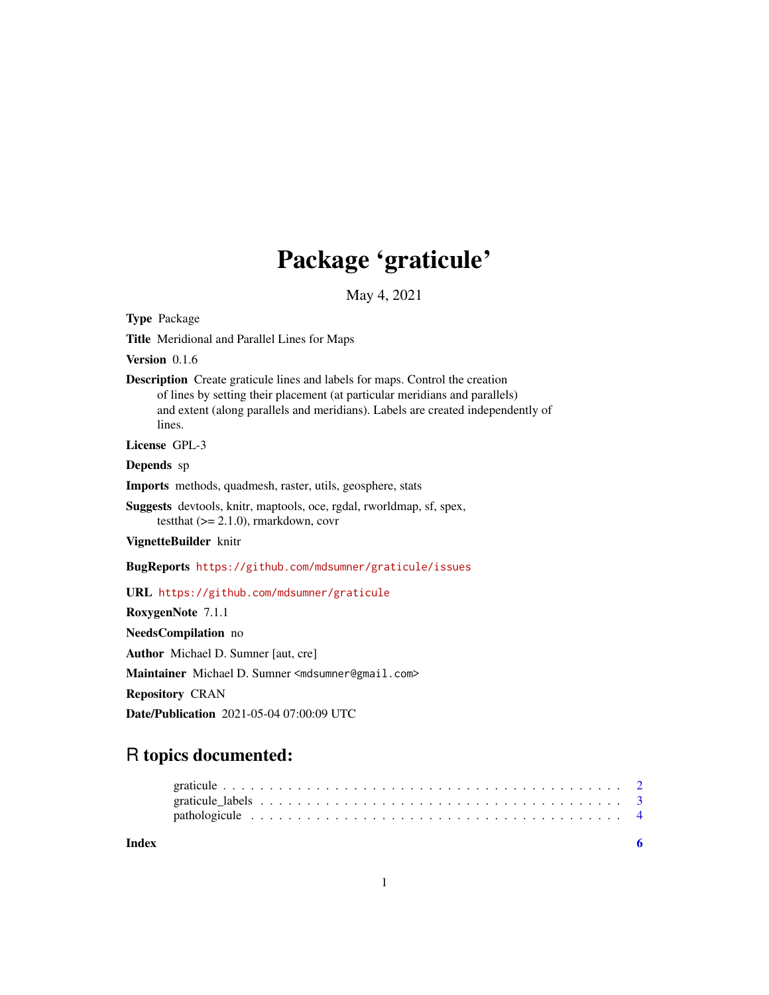## Package 'graticule'

May 4, 2021

Type Package

Title Meridional and Parallel Lines for Maps

Version 0.1.6

Description Create graticule lines and labels for maps. Control the creation of lines by setting their placement (at particular meridians and parallels) and extent (along parallels and meridians). Labels are created independently of lines.

License GPL-3

Depends sp

Imports methods, quadmesh, raster, utils, geosphere, stats

Suggests devtools, knitr, maptools, oce, rgdal, rworldmap, sf, spex, testthat (>= 2.1.0), rmarkdown, covr

VignetteBuilder knitr

BugReports <https://github.com/mdsumner/graticule/issues>

URL <https://github.com/mdsumner/graticule>

RoxygenNote 7.1.1

NeedsCompilation no

Author Michael D. Sumner [aut, cre]

Maintainer Michael D. Sumner <mdsumner@gmail.com>

Repository CRAN

Date/Publication 2021-05-04 07:00:09 UTC

## R topics documented:

**Index** [6](#page-5-0) **6**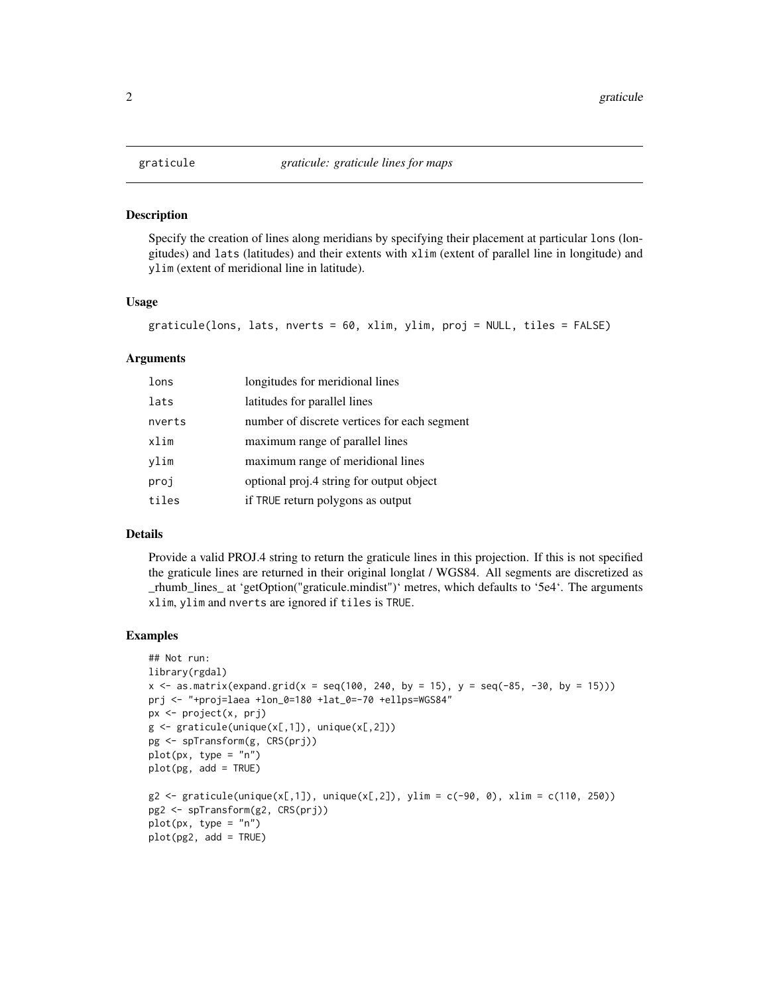<span id="page-1-1"></span><span id="page-1-0"></span>

#### Description

Specify the creation of lines along meridians by specifying their placement at particular lons (longitudes) and lats (latitudes) and their extents with xlim (extent of parallel line in longitude) and ylim (extent of meridional line in latitude).

#### Usage

```
graticule(lons, lats, nverts = 60, xlim, ylim, proj = NULL, tiles = FALSE)
```
#### Arguments

| lons   | longitudes for meridional lines              |
|--------|----------------------------------------------|
| lats   | latitudes for parallel lines                 |
| nverts | number of discrete vertices for each segment |
| xlim   | maximum range of parallel lines              |
| ylim   | maximum range of meridional lines            |
| proj   | optional proj.4 string for output object     |
| tiles  | if TRUE return polygons as output            |

#### Details

Provide a valid PROJ.4 string to return the graticule lines in this projection. If this is not specified the graticule lines are returned in their original longlat / WGS84. All segments are discretized as \_rhumb\_lines\_ at 'getOption("graticule.mindist")' metres, which defaults to '5e4'. The arguments xlim, ylim and nverts are ignored if tiles is TRUE.

#### Examples

```
## Not run:
library(rgdal)
x \le - as.matrix(expand.grid(x = \text{seq}(100, 240, \text{ by } = 15), y = \text{seq}(-85, -30, \text{ by } = 15)))
prj <- "+proj=laea +lon_0=180 +lat_0=-70 +ellps=WGS84"
px <- project(x, prj)
g \leftarrow graticule(unique(x[,1]), unique(x[,2]))
pg <- spTransform(g, CRS(prj))
plot(px, type = "n")plot(pg, add = TRUE)
g2 \leq - graticule(unique(x[,1]), unique(x[,2]), ylim = c(-90, 0), xlim = c(110, 250))
pg2 <- spTransform(g2, CRS(prj))
plot(px, type = "n")plot(pg2, add = TRUE)
```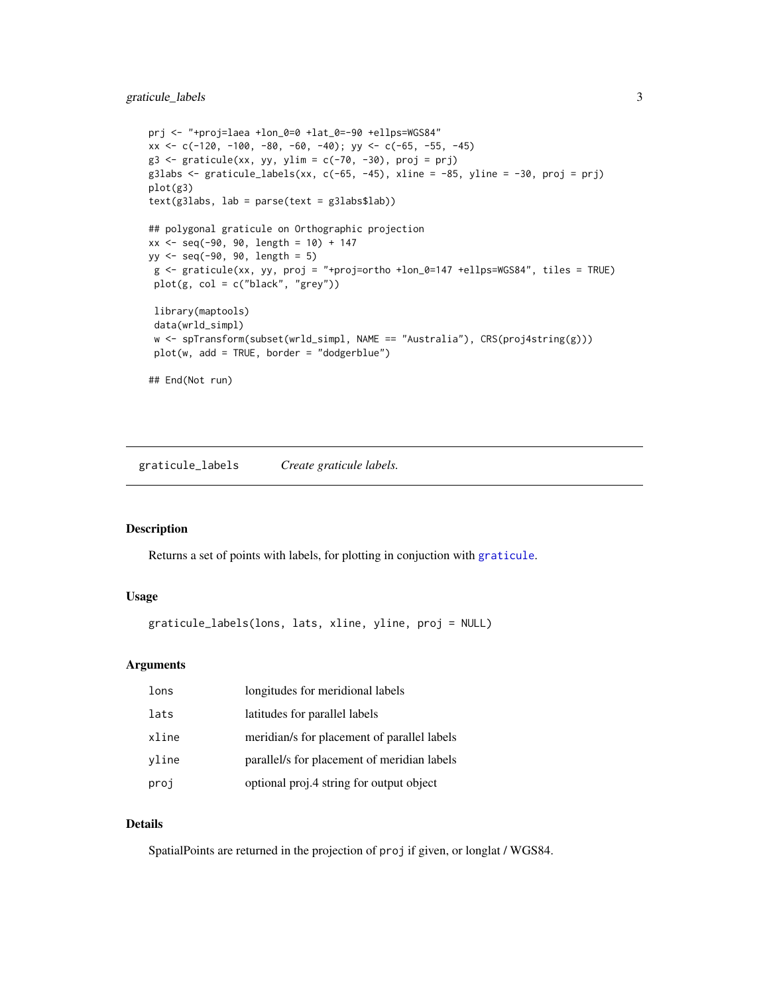#### <span id="page-2-0"></span>graticule\_labels 3

```
prj <- "+proj=laea +lon_0=0 +lat_0=-90 +ellps=WGS84"
xx \leftarrow c(-120, -100, -80, -60, -40); yy \leftarrow c(-65, -55, -45)g3 \le graticule(xx, yy, ylim = c(-70, -30), proj = prj)
g3labs \le- graticule_labels(xx, c(-65, -45), xline = -85, yline = -30, proj = prj)
plot(g3)
text(g3labs, lab = parse(text = g3labs$lab))
## polygonal graticule on Orthographic projection
xx <- seq(-90, 90, length = 10) + 147
yy <- seq(-90, 90, length = 5)
 g <- graticule(xx, yy, proj = "+proj=ortho +lon_0=147 +ellps=WGS84", tiles = TRUE)
 plot(g, col = c("black", "grey"))
 library(maptools)
 data(wrld_simpl)
 w <- spTransform(subset(wrld_simpl, NAME == "Australia"), CRS(proj4string(g)))
 plot(w, add = TRUE, border = "dodgerblue")
## End(Not run)
```
graticule\_labels *Create graticule labels.*

#### Description

Returns a set of points with labels, for plotting in conjuction with [graticule](#page-1-1).

#### Usage

graticule\_labels(lons, lats, xline, yline, proj = NULL)

#### Arguments

| lons  | longitudes for meridional labels            |
|-------|---------------------------------------------|
| lats  | latitudes for parallel labels               |
| xline | meridian/s for placement of parallel labels |
| vline | parallel/s for placement of meridian labels |
| proj  | optional proj.4 string for output object    |

#### Details

SpatialPoints are returned in the projection of proj if given, or longlat / WGS84.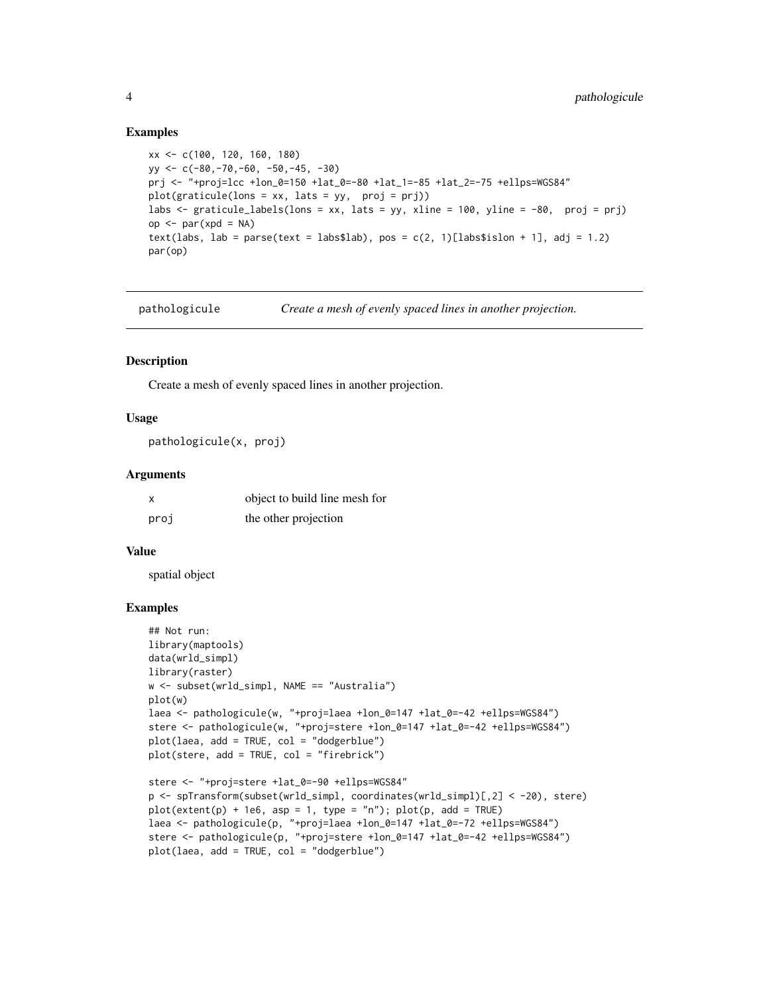#### Examples

```
xx <- c(100, 120, 160, 180)
yy <- c(-80,-70,-60, -50,-45, -30)
prj <- "+proj=lcc +lon_0=150 +lat_0=-80 +lat_1=-85 +lat_2=-75 +ellps=WGS84"
plot(graticule(lons = xx, lats = yy, proj = prj))
labs <- graticule_labels(lons = xx, lats = yy, xline = 100, yline = -80, proj = prj)
op <- par(xpd = NA)
text(labs, lab = parse(text = labs$lab), pos = c(2, 1)[labs$islon + 1], adj = 1.2)
par(op)
```
pathologicule *Create a mesh of evenly spaced lines in another projection.*

#### Description

Create a mesh of evenly spaced lines in another projection.

#### Usage

pathologicule(x, proj)

#### Arguments

|      | object to build line mesh for |
|------|-------------------------------|
| proj | the other projection          |

#### Value

spatial object

#### Examples

```
## Not run:
library(maptools)
data(wrld_simpl)
library(raster)
w <- subset(wrld_simpl, NAME == "Australia")
plot(w)
laea <- pathologicule(w, "+proj=laea +lon_0=147 +lat_0=-42 +ellps=WGS84")
stere <- pathologicule(w, "+proj=stere +lon_0=147 +lat_0=-42 +ellps=WGS84")
plot(laea, add = TRUE, col = "dodgerblue")
plot(stere, add = TRUE, col = "firebrick")
stere <- "+proj=stere +lat_0=-90 +ellps=WGS84"
p <- spTransform(subset(wrld_simpl, coordinates(wrld_simpl)[,2] < -20), stere)
plot(extent(p) + 1e6, asp = 1, type = "n"); plot(p, add = TRUE)laea <- pathologicule(p, "+proj=laea +lon_0=147 +lat_0=-72 +ellps=WGS84")
stere <- pathologicule(p, "+proj=stere +lon_0=147 +lat_0=-42 +ellps=WGS84")
```

```
plot(laea, add = TRUE, col = "dodgerblue")
```
<span id="page-3-0"></span>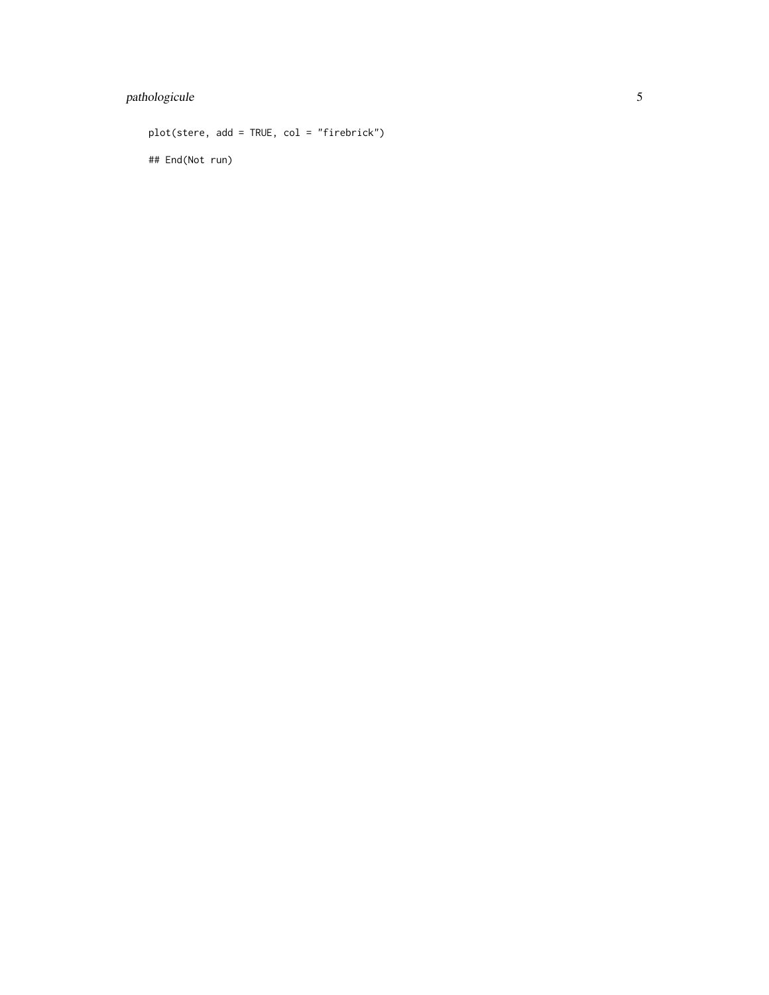### pathologicule 5

plot(stere, add = TRUE, col = "firebrick") ## End(Not run)